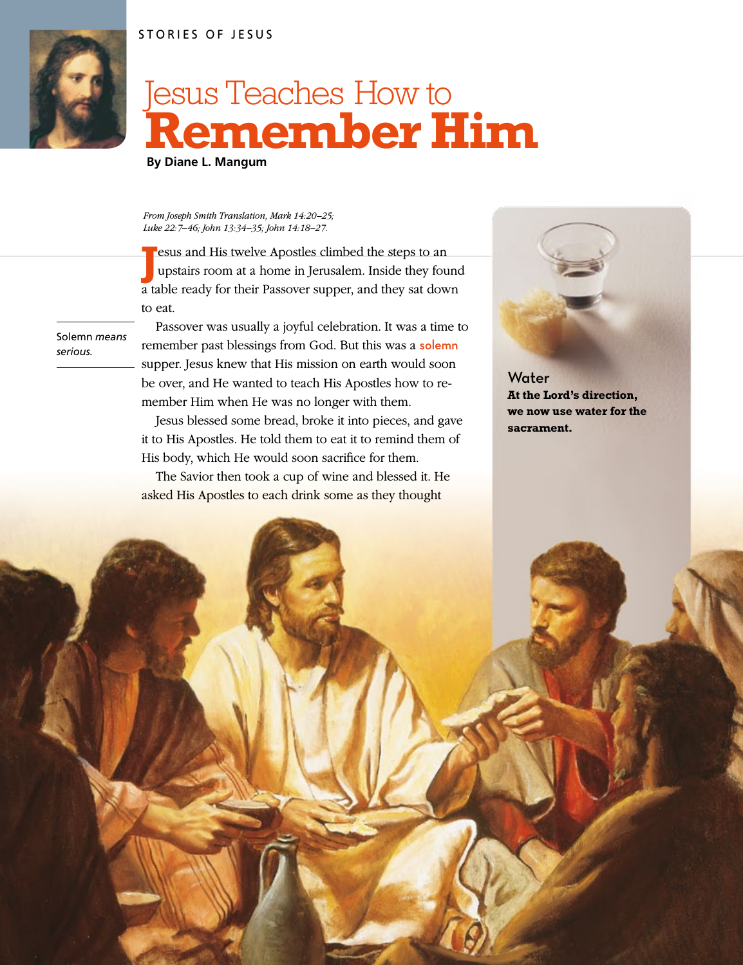

## Jesus Teaches How to **Remember Him By Diane L. Mangum**

*From Joseph Smith Translation, Mark 14:20–25; Luke 22:7–46; John 13:34–35; John 14:18–27.*

**J** esus and His twelve Apostles climbed the steps to an upstairs room at a home in Jerusalem. Inside they fou upstairs room at a home in Jerusalem. Inside they found a table ready for their Passover supper, and they sat down to eat.

Solemn *means serious.*

Passover was usually a joyful celebration. It was a time to remember past blessings from God. But this was a solemn supper. Jesus knew that His mission on earth would soon be over, and He wanted to teach His Apostles how to remember Him when He was no longer with them.

Jesus blessed some bread, broke it into pieces, and gave it to His Apostles. He told them to eat it to remind them of His body, which He would soon sacrifice for them.

The Savior then took a cup of wine and blessed it. He asked His Apostles to each drink some as they thought



**Water At the Lord's direction, we now use water for the sacrament.**